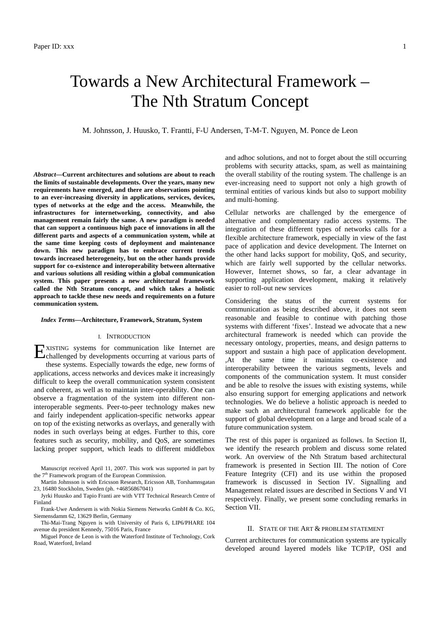# Towards a New Architectural Framework – The Nth Stratum Concept

M. Johnsson, J. Huusko, T. Frantti, F-U Andersen, T-M-T. Nguyen, M. Ponce de Leon

*Abstract***—Current architectures and solutions are about to reach the limits of sustainable developments. Over the years, many new requirements have emerged, and there are observations pointing to an ever-increasing diversity in applications, services, devices, types of networks at the edge and the access. Meanwhile, the infrastructures for internetworking, connectivity, and also management remain fairly the same. A new paradigm is needed that can support a continuous high pace of innovations in all the different parts and aspects of a communication system, while at the same time keeping costs of deployment and maintenance down. This new paradigm has to embrace current trends towards increased heterogeneity, but on the other hands provide support for co-existence and interoperability between alternative and various solutions all residing within a global communication system. This paper presents a new architectural framework called the Nth Stratum concept, and which takes a holistic approach to tackle these new needs and requirements on a future communication system.** 

#### *Index Terms***—Architecture, Framework, Stratum, System**

# I. INTRODUCTION

XISTING systems for communication like Internet are EXISTING systems for communication like Internet are challenged by developments occurring at various parts of these systems. Especially towards the edge, new forms of applications, access networks and devices make it increasingly difficult to keep the overall communication system consistent and coherent, as well as to maintain inter-operability. One can observe a fragmentation of the system into different noninteroperable segments. Peer-to-peer technology makes new and fairly independent application-specific networks appear on top of the existing networks as overlays, and generally with nodes in such overlays being at edges. Further to this, core features such as security, mobility, and QoS, are sometimes lacking proper support, which leads to different middlebox

Manuscript received April 11, 2007. This work was supported in part by the  $7<sup>th</sup>$  Framework program of the European Commission.

Martin Johnsson is with Ericsson Research, Ericsson AB, Torshamnsgatan 23, 16480 Stockholm, Sweden (ph. +46856867041)

Jyrki Huusko and Tapio Franti are with VTT Technical Research Centre of Finland

Frank-Uwe Andersem is with Nokia Siemens Networks GmbH & Co. KG, Siemensdamm 62, 13629 Berlin, Germany

Thi-Mai-Trang Nguyen is with University of Paris 6, LIP6/PHARE 104 avenue du president Kennedy, 75016 Paris, France

Miguel Ponce de Leon is with the Waterford Institute of Technology, Cork Road, Waterford, Ireland

and adhoc solutions, and not to forget about the still occurring problems with security attacks, spam, as well as maintaining the overall stability of the routing system. The challenge is an ever-increasing need to support not only a high growth of terminal entities of various kinds but also to support mobility and multi-homing.

Cellular networks are challenged by the emergence of alternative and complementary radio access systems. The integration of these different types of networks calls for a flexible architecture framework, especially in view of the fast pace of application and device development. The Internet on the other hand lacks support for mobility, QoS, and security, which are fairly well supported by the cellular networks. However, Internet shows, so far, a clear advantage in supporting application development, making it relatively easier to roll-out new services

Considering the status of the current systems for communication as being described above, it does not seem reasonable and feasible to continue with patching those systems with different 'fixes'. Instead we advocate that a new architectural framework is needed which can provide the necessary ontology, properties, means, and design patterns to support and sustain a high pace of application development. ,At the same time it maintains co-existence and interoperability between the various segments, levels and components of the communication system. It must consider and be able to resolve the issues with existing systems, while also ensuring support for emerging applications and network technologies. We do believe a holistic approach is needed to make such an architectural framework applicable for the support of global development on a large and broad scale of a future communication system.

The rest of this paper is organized as follows. In Section II, we identify the research problem and discuss some related work. An overview of the Nth Stratum based architectural framework is presented in Section III. The notion of Core Feature Integrity (CFI) and its use within the proposed framework is discussed in Section IV. Signalling and Management related issues are described in Sections V and VI respectively. Finally, we present some concluding remarks in Section VII.

#### II. STATE OF THE ART & PROBLEM STATEMENT

Current architectures for communication systems are typically developed around layered models like TCP/IP, OSI and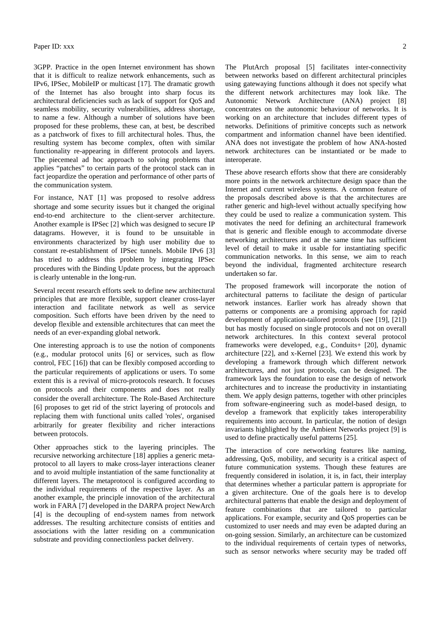3GPP. Practice in the open Internet environment has shown that it is difficult to realize network enhancements, such as IPv6, IPSec, MobileIP or multicast [17]. The dramatic growth of the Internet has also brought into sharp focus its architectural deficiencies such as lack of support for QoS and seamless mobility, security vulnerabilities, address shortage, to name a few. Although a number of solutions have been proposed for these problems, these can, at best, be described as a patchwork of fixes to fill architectural holes. Thus, the resulting system has become complex, often with similar functionality re-appearing in different protocols and layers. The piecemeal ad hoc approach to solving problems that applies "patches" to certain parts of the protocol stack can in fact jeopardize the operation and performance of other parts of the communication system.

For instance, NAT [1] was proposed to resolve address shortage and some security issues but it changed the original end-to-end architecture to the client-server architecture. Another example is IPSec [2] which was designed to secure IP datagrams. However, it is found to be unsuitable in environments characterized by high user mobility due to constant re-establishment of IPSec tunnels. Mobile IPv6 [3] has tried to address this problem by integrating IPSec procedures with the Binding Update process, but the approach is clearly untenable in the long-run.

Several recent research efforts seek to define new architectural principles that are more flexible, support cleaner cross-layer interaction and facilitate network as well as service composition. Such efforts have been driven by the need to develop flexible and extensible architectures that can meet the needs of an ever-expanding global network.

One interesting approach is to use the notion of components (e.g., modular protocol units [6] or services, such as flow control, FEC [16]) that can be flexibly composed according to the particular requirements of applications or users. To some extent this is a revival of micro-protocols research. It focuses on protocols and their components and does not really consider the overall architecture. The Role-Based Architecture [6] proposes to get rid of the strict layering of protocols and replacing them with functional units called 'roles', organised arbitrarily for greater flexibility and richer interactions between protocols.

Other approaches stick to the layering principles. The recursive networking architecture [18] applies a generic metaprotocol to all layers to make cross-layer interactions cleaner and to avoid multiple instantiation of the same functionality at different layers. The metaprotocol is configured according to the individual requirements of the respective layer. As an another example, the principle innovation of the architectural work in FARA [7] developed in the DARPA project NewArch [4] is the decoupling of end-system names from network addresses. The resulting architecture consists of entities and associations with the latter residing on a communication substrate and providing connectionless packet delivery.

The PlutArch proposal [5] facilitates inter-connectivity between networks based on different architectural principles using gatewaying functions although it does not specify what the different network architectures may look like. The Autonomic Network Architecture (ANA) project [8] concentrates on the autonomic behaviour of networks. It is working on an architecture that includes different types of networks. Definitions of primitive concepts such as network compartment and information channel have been identified. ANA does not investigate the problem of how ANA-hosted network architectures can be instantiated or be made to interoperate.

These above research efforts show that there are considerably more points in the network architecture design space than the Internet and current wireless systems. A common feature of the proposals described above is that the architectures are rather generic and high-level without actually specifying how they could be used to realize a communication system. This motivates the need for defining an architectural framework that is generic and flexible enough to accommodate diverse networking architectures and at the same time has sufficient level of detail to make it usable for instantiating specific communication networks. In this sense, we aim to reach beyond the individual, fragmented architecture research undertaken so far.

The proposed framework will incorporate the notion of architectural patterns to facilitate the design of particular network instances. Earlier work has already shown that patterns or components are a promising approach for rapid development of application-tailored protocols (see [19], [21]) but has mostly focused on single protocols and not on overall network architectures. In this context several protocol frameworks were developed, e.g., Conduits+ [20], dynamic architecture [22], and x-Kernel [23]. We extend this work by developing a framework through which different network architectures, and not just protocols, can be designed. The framework lays the foundation to ease the design of network architectures and to increase the productivity in instantiating them. We apply design patterns, together with other principles from software-engineering such as model-based design, to develop a framework that explicitly takes interoperability requirements into account. In particular, the notion of design invariants highlighted by the Ambient Networks project [9] is used to define practically useful patterns [25].

The interaction of core networking features like naming, addressing, QoS, mobility, and security is a critical aspect of future communication systems. Though these features are frequently considered in isolation, it is, in fact, their interplay that determines whether a particular pattern is appropriate for a given architecture. One of the goals here is to develop architectural patterns that enable the design and deployment of feature combinations that are tailored to particular applications. For example, security and QoS properties can be customized to user needs and may even be adapted during an on-going session. Similarly, an architecture can be customized to the individual requirements of certain types of networks, such as sensor networks where security may be traded off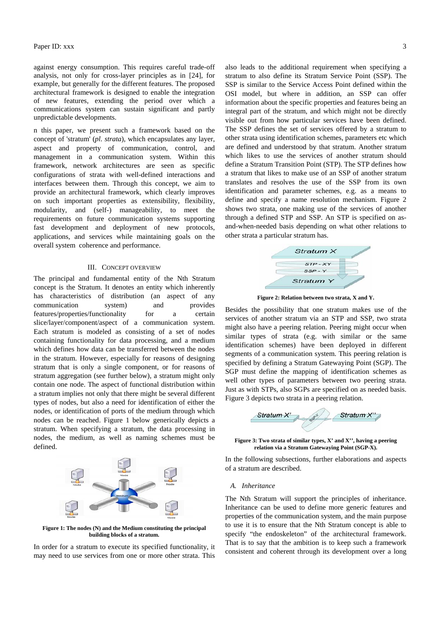against energy consumption. This requires careful trade-off analysis, not only for cross-layer principles as in [24], for example, but generally for the different features. The proposed architectural framework is designed to enable the integration of new features, extending the period over which a communications system can sustain significant and partly unpredictable developments.

n this paper, we present such a framework based on the concept of 'stratum' (*pl. strata*), which encapsulates any layer, aspect and property of communication, control, and management in a communication system. Within this framework, network architectures are seen as specific configurations of strata with well-defined interactions and interfaces between them. Through this concept, we aim to provide an architectural framework, which clearly improves on such important properties as extensibility, flexibility, modularity, and (self-) manageability, to meet the requirements on future communication systems supporting fast development and deployment of new protocols, applications, and services while maintaining goals on the overall system coherence and performance.

#### III. CONCEPT OVERVIEW

The principal and fundamental entity of the Nth Stratum concept is the Stratum. It denotes an entity which inherently has characteristics of distribution (an aspect of any communication system) and provides features/properties/functionality for a certain slice/layer/component/aspect of a communication system. Each stratum is modeled as consisting of a set of nodes containing functionality for data processing, and a medium which defines how data can be transferred between the nodes in the stratum. However, especially for reasons of designing stratum that is only a single component, or for reasons of stratum aggregation (see further below), a stratum might only contain one node. The aspect of functional distribution within a stratum implies not only that there might be several different types of nodes, but also a need for identification of either the nodes, or identification of ports of the medium through which nodes can be reached. Figure 1 below generically depicts a stratum. When specifying a stratum, the data processing in nodes, the medium, as well as naming schemes must be defined.



**Figure 1: The nodes (N) and the Medium constituting the principal building blocks of a stratum.** 

In order for a stratum to execute its specified functionality, it may need to use services from one or more other strata. This

also leads to the additional requirement when specifying a stratum to also define its Stratum Service Point (SSP). The SSP is similar to the Service Access Point defined within the OSI model, but where in addition, an SSP can offer information about the specific properties and features being an integral part of the stratum, and which might not be directly visible out from how particular services have been defined. The SSP defines the set of services offered by a stratum to other strata using identification schemes, parameters etc which are defined and understood by that stratum. Another stratum which likes to use the services of another stratum should define a Stratum Transition Point (STP). The STP defines how a stratum that likes to make use of an SSP of another stratum translates and resolves the use of the SSP from its own identification and parameter schemes, e.g. as a means to define and specify a name resolution mechanism. Figure 2 shows two strata, one making use of the services of another through a defined STP and SSP. An STP is specified on asand-when-needed basis depending on what other relations to other strata a particular stratum has.



**Figure 2: Relation between two strata, X and Y.** 

Besides the possibility that one stratum makes use of the services of another stratum via an STP and SSP, two strata might also have a peering relation. Peering might occur when similar types of strata (e.g. with similar or the same identification schemes) have been deployed in different segments of a communication system. This peering relation is specified by defining a Stratum Gatewaying Point (SGP). The SGP must define the mapping of identification schemes as well other types of parameters between two peering strata. Just as with STPs, also SGPs are specified on as needed basis. Figure 3 depicts two strata in a peering relation.



**Figure 3: Two strata of similar types, X' and X'', having a peering relation via a Stratum Gatewaying Point (SGP-X).** 

In the following subsections, further elaborations and aspects of a stratum are described.

## *A. Inheritance*

The Nth Stratum will support the principles of inheritance. Inheritance can be used to define more generic features and properties of the communication system, and the main purpose to use it is to ensure that the Nth Stratum concept is able to specify "the endoskeleton" of the architectural framework. That is to say that the ambition is to keep such a framework consistent and coherent through its development over a long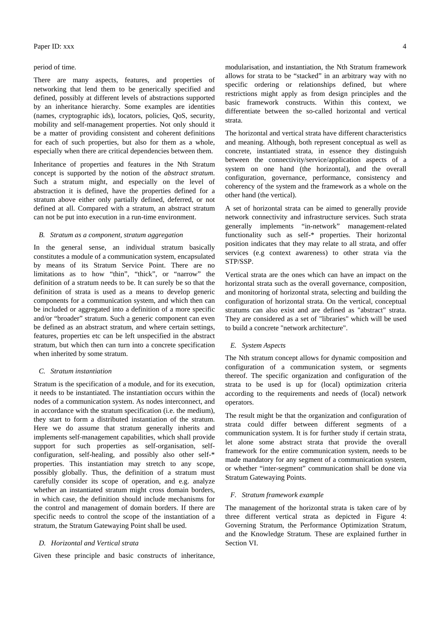# Paper ID: xxx  $\frac{4}{3}$

#### period of time.

There are many aspects, features, and properties of networking that lend them to be generically specified and defined, possibly at different levels of abstractions supported by an inheritance hierarchy. Some examples are identities (names, cryptographic ids), locators, policies, QoS, security, mobility and self-management properties. Not only should it be a matter of providing consistent and coherent definitions for each of such properties, but also for them as a whole, especially when there are critical dependencies between them.

Inheritance of properties and features in the Nth Stratum concept is supported by the notion of the *abstract stratum*. Such a stratum might, and especially on the level of abstraction it is defined, have the properties defined for a stratum above either only partially defined, deferred, or not defined at all. Compared with a stratum, an abstract stratum can not be put into execution in a run-time environment.

# *B. Stratum as a component, stratum aggregation*

In the general sense, an individual stratum basically constitutes a module of a communication system, encapsulated by means of its Stratum Service Point. There are no limitations as to how "thin", "thick", or "narrow" the definition of a stratum needs to be. It can surely be so that the definition of strata is used as a means to develop generic components for a communication system, and which then can be included or aggregated into a definition of a more specific and/or "broader" stratum. Such a generic component can even be defined as an abstract stratum, and where certain settings, features, properties etc can be left unspecified in the abstract stratum, but which then can turn into a concrete specification when inherited by some stratum.

#### *C. Stratum instantiation*

Stratum is the specification of a module, and for its execution, it needs to be instantiated. The instantiation occurs within the nodes of a communication system. As nodes interconnect, and in accordance with the stratum specification (i.e. the medium), they start to form a distributed instantiation of the stratum. Here we do assume that stratum generally inherits and implements self-management capabilities, which shall provide support for such properties as self-organisation, selfconfiguration, self-healing, and possibly also other self-\* properties. This instantiation may stretch to any scope, possibly globally. Thus, the definition of a stratum must carefully consider its scope of operation, and e.g. analyze whether an instantiated stratum might cross domain borders, in which case, the definition should include mechanisms for the control and management of domain borders. If there are specific needs to control the scope of the instantiation of a stratum, the Stratum Gatewaying Point shall be used.

#### *D. Horizontal and Vertical strata*

Given these principle and basic constructs of inheritance,

modularisation, and instantiation, the Nth Stratum framework allows for strata to be "stacked" in an arbitrary way with no specific ordering or relationships defined, but where restrictions might apply as from design principles and the basic framework constructs. Within this context, we differentiate between the so-called horizontal and vertical strata.

The horizontal and vertical strata have different characteristics and meaning. Although, both represent conceptual as well as concrete, instantiated strata, in essence they distinguish between the connectivity/service/application aspects of a system on one hand (the horizontal), and the overall configuration, governance, performance, consistency and coherency of the system and the framework as a whole on the other hand (the vertical).

A set of horizontal strata can be aimed to generally provide network connectivity and infrastructure services. Such strata generally implements "in-network" management-related functionality such as self-\* properties. Their horizontal position indicates that they may relate to all strata, and offer services (e.g context awareness) to other strata via the STP/SSP.

Vertical strata are the ones which can have an impact on the horizontal strata such as the overall governance, composition, and monitoring of horizontal strata, selecting and building the configuration of horizontal strata. On the vertical, conceptual stratums can also exist and are defined as "abstract" strata. They are considered as a set of "libraries" which will be used to build a concrete "network architecture".

# *E. System Aspects*

The Nth stratum concept allows for dynamic composition and configuration of a communication system, or segments thereof. The specific organization and configuration of the strata to be used is up for (local) optimization criteria according to the requirements and needs of (local) network operators.

The result might be that the organization and configuration of strata could differ between different segments of a communication system. It is for further study if certain strata, let alone some abstract strata that provide the overall framework for the entire communication system, needs to be made mandatory for any segment of a communication system, or whether "inter-segment" communication shall be done via Stratum Gatewaying Points.

## *F. Stratum framework example*

The management of the horizontal strata is taken care of by three different vertical strata as depicted in Figure 4: Governing Stratum, the Performance Optimization Stratum, and the Knowledge Stratum. These are explained further in Section VI.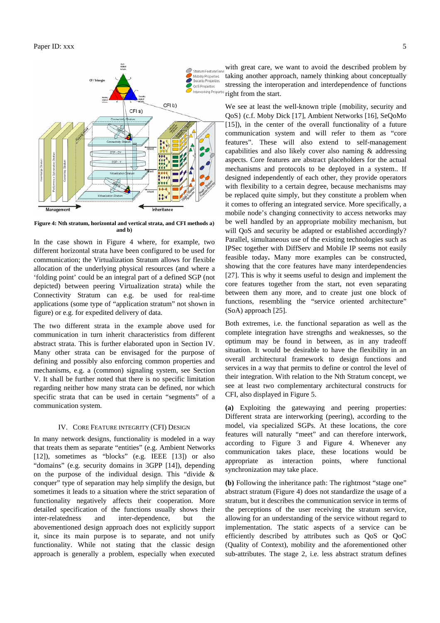

**Figure 4: Nth stratum, horizontal and vertical strata, and CFI methods a) and b)** 

In the case shown in Figure 4 where, for example, two different horizontal strata have been configured to be used for communication; the Virtualization Stratum allows for flexible allocation of the underlying physical resources (and where a 'folding point' could be an integral part of a defined SGP (not depicted) between peering Virtualization strata) while the Connectivity Stratum can e.g. be used for real-time applications (some type of "application stratum" not shown in figure) or e.g. for expedited delivery of data.

The two different strata in the example above used for communication in turn inherit characteristics from different abstract strata. This is further elaborated upon in Section IV. Many other strata can be envisaged for the purpose of defining and possibly also enforcing common properties and mechanisms, e.g. a (common) signaling system, see Section V. It shall be further noted that there is no specific limitation regarding neither how many strata can be defined, nor which specific strata that can be used in certain "segments" of a communication system.

#### IV. CORE FEATURE INTEGRITY (CFI) DESIGN

In many network designs, functionality is modeled in a way that treats them as separate "entities" (e.g. Ambient Networks [12]), sometimes as "blocks" (e.g. IEEE [13]) or also "domains" (e.g. security domains in 3GPP [14]), depending on the purpose of the individual design. This "divide & conquer" type of separation may help simplify the design, but sometimes it leads to a situation where the strict separation of functionality negatively affects their cooperation. More detailed specification of the functions usually shows their inter-relatedness and inter-dependence, but the abovementioned design approach does not explicitly support it, since its main purpose is to separate, and not unify functionality. While not stating that the classic design approach is generally a problem, especially when executed

with great care, we want to avoid the described problem by taking another approach, namely thinking about conceptually stressing the interoperation and interdependence of functions right from the start.

We see at least the well-known triple {mobility, security and QoS} (c.f. Moby Dick [17], Ambient Networks [16], SeQoMo [15]), in the center of the overall functionality of a future communication system and will refer to them as "core features". These will also extend to self-management capabilities and also likely cover also naming & addressing aspects. Core features are abstract placeholders for the actual mechanisms and protocols to be deployed in a system.. If designed independently of each other, they provide operators with flexibility to a certain degree, because mechanisms may be replaced quite simply, but they constitute a problem when it comes to offering an integrated service. More specifically, a mobile node's changing connectivity to access networks may be well handled by an appropriate mobility mechanism, but will OoS and security be adapted or established accordingly? Parallel, simultaneous use of the existing technologies such as IPSec together with DiffServ and Mobile IP seems not easily feasible today**.** Many more examples can be constructed, showing that the core features have many interdependencies [27]. This is why it seems useful to design and implement the core features together from the start, not even separating between them any more, and to create just one block of functions, resembling the "service oriented architecture" (SoA) approach [25].

Both extremes, i.e. the functional separation as well as the complete integration have strengths and weaknesses, so the optimum may be found in between, as in any tradeoff situation. It would be desirable to have the flexibility in an overall architectural framework to design functions and services in a way that permits to define or control the level of their integration. With relation to the Nth Stratum concept, we see at least two complementary architectural constructs for CFI, also displayed in Figure 5.

**(a)** Exploiting the gatewaying and peering properties: Different strata are interworking (peering), according to the model, via specialized SGPs. At these locations, the core features will naturally "meet" and can therefore interwork, according to Figure 3 and Figure 4. Whenever any communication takes place, these locations would be appropriate as interaction points, where functional synchronization may take place.

**(b)** Following the inheritance path: The rightmost "stage one" abstract stratum (Figure 4) does not standardize the usage of a stratum, but it describes the communication service in terms of the perceptions of the user receiving the stratum service, allowing for an understanding of the service without regard to implementation. The static aspects of a service can be efficiently described by attributes such as QoS or QoC (Quality of Context), mobility and the aforementioned other sub-attributes. The stage 2, i.e. less abstract stratum defines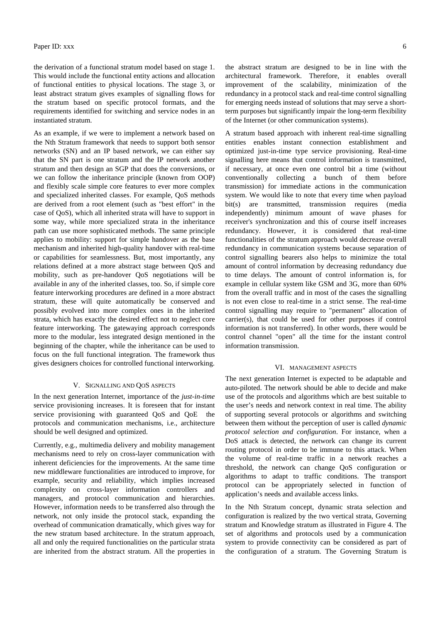the derivation of a functional stratum model based on stage 1. This would include the functional entity actions and allocation of functional entities to physical locations. The stage 3, or least abstract stratum gives examples of signalling flows for the stratum based on specific protocol formats, and the requirements identified for switching and service nodes in an instantiated stratum.

As an example, if we were to implement a network based on the Nth Stratum framework that needs to support both sensor networks (SN) and an IP based network, we can either say that the SN part is one stratum and the IP network another stratum and then design an SGP that does the conversions, or we can follow the inheritance principle (known from OOP) and flexibly scale simple core features to ever more complex and specialized inherited classes. For example, QoS methods are derived from a root element (such as "best effort" in the case of QoS), which all inherited strata will have to support in some way, while more specialized strata in the inheritance path can use more sophisticated methods. The same principle applies to mobility: support for simple handover as the base mechanism and inherited high-quality handover with real-time or capabilities for seamlessness. But, most importantly, any relations defined at a more abstract stage between QoS and mobility, such as pre-handover QoS negotiations will be available in any of the inherited classes, too. So, if simple core feature interworking procedures are defined in a more abstract stratum, these will quite automatically be conserved and possibly evolved into more complex ones in the inherited strata, which has exactly the desired effect not to neglect core feature interworking. The gatewaying approach corresponds more to the modular, less integrated design mentioned in the beginning of the chapter, while the inheritance can be used to focus on the full functional integration. The framework thus gives designers choices for controlled functional interworking.

#### V. SIGNALLING AND QOS ASPECTS

In the next generation Internet, importance of the *just-in-time* service provisioning increases. It is foreseen that for instant service provisioning with guaranteed QoS and QoE the protocols and communication mechanisms, i.e., architecture should be well designed and optimized.

Currently, e.g., multimedia delivery and mobility management mechanisms need to rely on cross-layer communication with inherent deficiencies for the improvements. At the same time new middleware functionalities are introduced to improve, for example, security and reliability, which implies increased complexity on cross-layer information controllers and managers, and protocol communication and hierarchies. However, information needs to be transferred also through the network, not only inside the protocol stack, expanding the overhead of communication dramatically, which gives way for the new stratum based architecture. In the stratum approach, all and only the required functionalities on the particular strata are inherited from the abstract stratum. All the properties in the abstract stratum are designed to be in line with the architectural framework. Therefore, it enables overall improvement of the scalability, minimization of the redundancy in a protocol stack and real-time control signalling for emerging needs instead of solutions that may serve a shortterm purposes but significantly impair the long-term flexibility of the Internet (or other communication systems).

A stratum based approach with inherent real-time signalling entities enables instant connection establishment and optimized just-in-time type service provisioning. Real-time signalling here means that control information is transmitted, if necessary, at once even one control bit a time (without conventionally collecting a bunch of them before transmission) for immediate actions in the communication system. We would like to note that every time when payload bit(s) are transmitted, transmission requires (media independently) minimum amount of wave phases for receiver's synchronization and this of course itself increases redundancy. However, it is considered that real-time functionalities of the stratum approach would decrease overall redundancy in communication systems because separation of control signalling bearers also helps to minimize the total amount of control information by decreasing redundancy due to time delays. The amount of control information is, for example in cellular system like GSM and 3G, more than 60% from the overall traffic and in most of the cases the signalling is not even close to real-time in a strict sense. The real-time control signalling may require to "permanent" allocation of carrier(s), that could be used for other purposes if control information is not transferred). In other words, there would be control channel "open" all the time for the instant control information transmission.

#### VI. MANAGEMENT ASPECTS

The next generation Internet is expected to be adaptable and auto-piloted. The network should be able to decide and make use of the protocols and algorithms which are best suitable to the user's needs and network context in real time. The ability of supporting several protocols or algorithms and switching between them without the perception of user is called *dynamic protocol selection and configuration*. For instance, when a DoS attack is detected, the network can change its current routing protocol in order to be immune to this attack. When the volume of real-time traffic in a network reaches a threshold, the network can change QoS configuration or algorithms to adapt to traffic conditions. The transport protocol can be appropriately selected in function of application's needs and available access links.

In the Nth Stratum concept, dynamic strata selection and configuration is realized by the two vertical strata, Governing stratum and Knowledge stratum as illustrated in Figure 4. The set of algorithms and protocols used by a communication system to provide connectivity can be considered as part of the configuration of a stratum. The Governing Stratum is